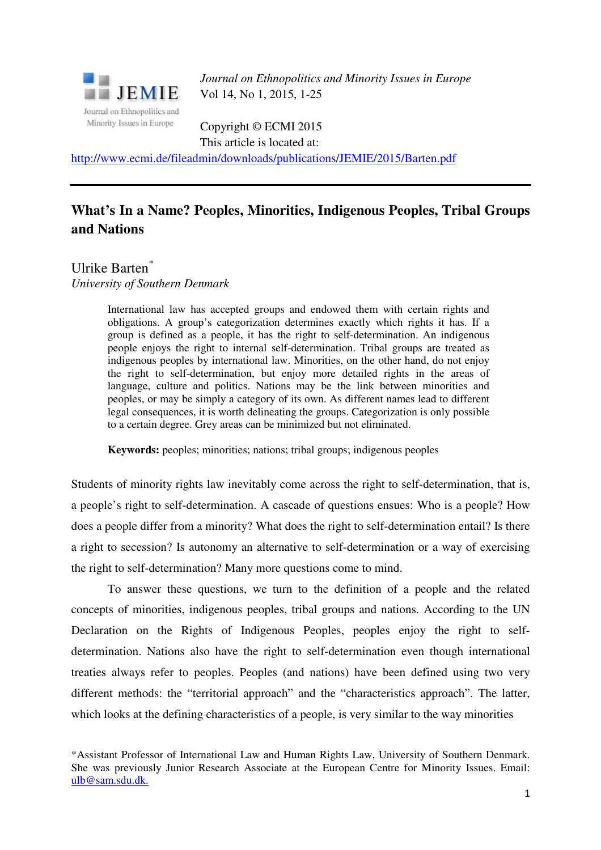

*Journal on Ethnopolitics and Minority Issues in Europe* Vol 14, No 1, 2015, 1-25

Copyright © ECMI 2015 This article is located at:

http://www.ecmi.de/fileadmin/downloads/publications/JEMIE/2015/Barten.pdf

# **What's In a Name? Peoples, Minorities, Indigenous Peoples, Tribal Groups and Nations**

Ulrike Barten<sup>\*</sup> *University of Southern Denmark* 

> International law has accepted groups and endowed them with certain rights and obligations. A group's categorization determines exactly which rights it has. If a group is defined as a people, it has the right to self-determination. An indigenous people enjoys the right to internal self-determination. Tribal groups are treated as indigenous peoples by international law. Minorities, on the other hand, do not enjoy the right to self-determination, but enjoy more detailed rights in the areas of language, culture and politics. Nations may be the link between minorities and peoples, or may be simply a category of its own. As different names lead to different legal consequences, it is worth delineating the groups. Categorization is only possible to a certain degree. Grey areas can be minimized but not eliminated.

**Keywords:** peoples; minorities; nations; tribal groups; indigenous peoples

Students of minority rights law inevitably come across the right to self-determination, that is, a people's right to self-determination. A cascade of questions ensues: Who is a people? How does a people differ from a minority? What does the right to self-determination entail? Is there a right to secession? Is autonomy an alternative to self-determination or a way of exercising the right to self-determination? Many more questions come to mind.

To answer these questions, we turn to the definition of a people and the related concepts of minorities, indigenous peoples, tribal groups and nations. According to the UN Declaration on the Rights of Indigenous Peoples, peoples enjoy the right to selfdetermination. Nations also have the right to self-determination even though international treaties always refer to peoples. Peoples (and nations) have been defined using two very different methods: the "territorial approach" and the "characteristics approach". The latter, which looks at the defining characteristics of a people, is very similar to the way minorities

\*Assistant Professor of International Law and Human Rights Law, University of Southern Denmark. She was previously Junior Research Associate at the European Centre for Minority Issues. Email: ulb@sam.sdu.dk.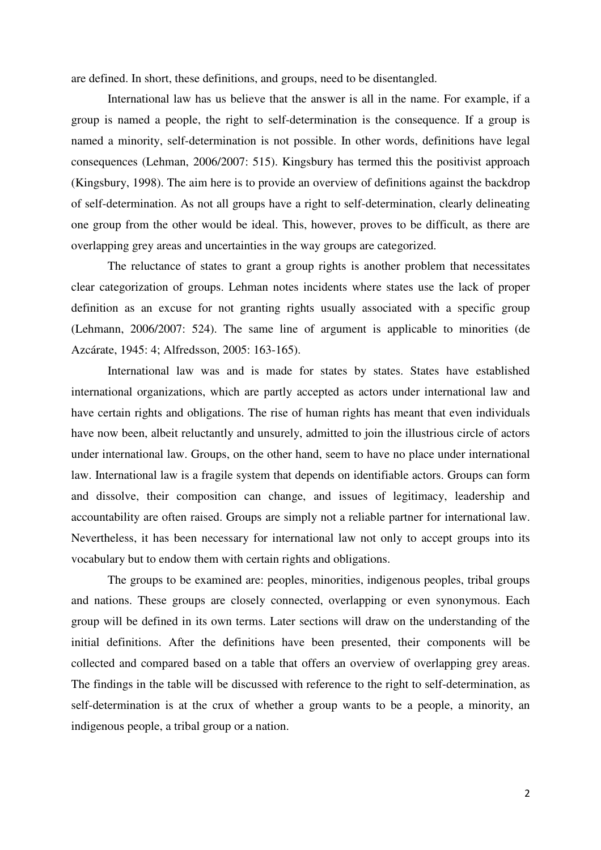are defined. In short, these definitions, and groups, need to be disentangled.

International law has us believe that the answer is all in the name. For example, if a group is named a people, the right to self-determination is the consequence. If a group is named a minority, self-determination is not possible. In other words, definitions have legal consequences (Lehman, 2006/2007: 515). Kingsbury has termed this the positivist approach (Kingsbury, 1998). The aim here is to provide an overview of definitions against the backdrop of self-determination. As not all groups have a right to self-determination, clearly delineating one group from the other would be ideal. This, however, proves to be difficult, as there are overlapping grey areas and uncertainties in the way groups are categorized.

The reluctance of states to grant a group rights is another problem that necessitates clear categorization of groups. Lehman notes incidents where states use the lack of proper definition as an excuse for not granting rights usually associated with a specific group (Lehmann, 2006/2007: 524). The same line of argument is applicable to minorities (de Azcárate, 1945: 4; Alfredsson, 2005: 163-165).

International law was and is made for states by states. States have established international organizations, which are partly accepted as actors under international law and have certain rights and obligations. The rise of human rights has meant that even individuals have now been, albeit reluctantly and unsurely, admitted to join the illustrious circle of actors under international law. Groups, on the other hand, seem to have no place under international law. International law is a fragile system that depends on identifiable actors. Groups can form and dissolve, their composition can change, and issues of legitimacy, leadership and accountability are often raised. Groups are simply not a reliable partner for international law. Nevertheless, it has been necessary for international law not only to accept groups into its vocabulary but to endow them with certain rights and obligations.

The groups to be examined are: peoples, minorities, indigenous peoples, tribal groups and nations. These groups are closely connected, overlapping or even synonymous. Each group will be defined in its own terms. Later sections will draw on the understanding of the initial definitions. After the definitions have been presented, their components will be collected and compared based on a table that offers an overview of overlapping grey areas. The findings in the table will be discussed with reference to the right to self-determination, as self-determination is at the crux of whether a group wants to be a people, a minority, an indigenous people, a tribal group or a nation.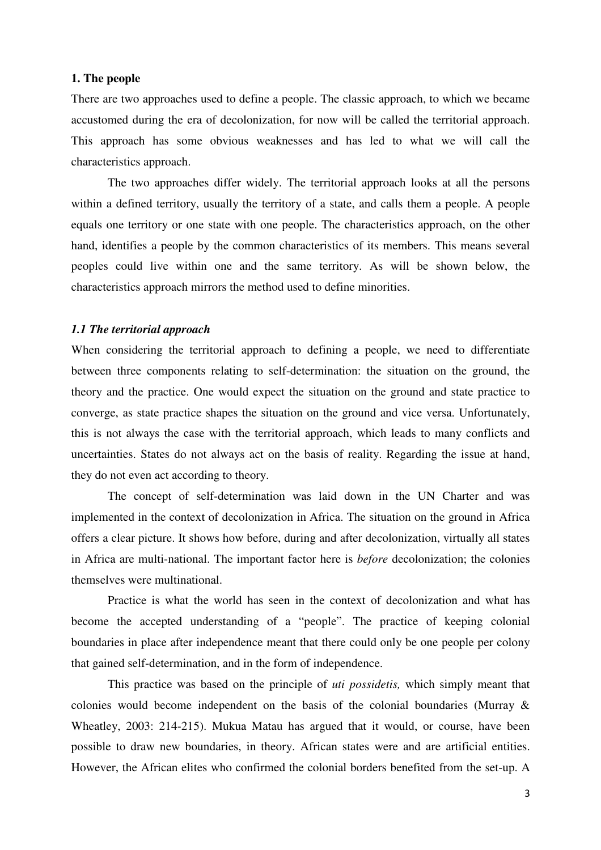# **1. The people**

There are two approaches used to define a people. The classic approach, to which we became accustomed during the era of decolonization, for now will be called the territorial approach. This approach has some obvious weaknesses and has led to what we will call the characteristics approach.

The two approaches differ widely. The territorial approach looks at all the persons within a defined territory, usually the territory of a state, and calls them a people. A people equals one territory or one state with one people. The characteristics approach, on the other hand, identifies a people by the common characteristics of its members. This means several peoples could live within one and the same territory. As will be shown below, the characteristics approach mirrors the method used to define minorities.

# *1.1 The territorial approach*

When considering the territorial approach to defining a people, we need to differentiate between three components relating to self-determination: the situation on the ground, the theory and the practice. One would expect the situation on the ground and state practice to converge, as state practice shapes the situation on the ground and vice versa. Unfortunately, this is not always the case with the territorial approach, which leads to many conflicts and uncertainties. States do not always act on the basis of reality. Regarding the issue at hand, they do not even act according to theory.

The concept of self-determination was laid down in the UN Charter and was implemented in the context of decolonization in Africa. The situation on the ground in Africa offers a clear picture. It shows how before, during and after decolonization, virtually all states in Africa are multi-national. The important factor here is *before* decolonization; the colonies themselves were multinational.

Practice is what the world has seen in the context of decolonization and what has become the accepted understanding of a "people". The practice of keeping colonial boundaries in place after independence meant that there could only be one people per colony that gained self-determination, and in the form of independence.

This practice was based on the principle of *uti possidetis,* which simply meant that colonies would become independent on the basis of the colonial boundaries (Murray & Wheatley, 2003: 214-215). Mukua Matau has argued that it would, or course, have been possible to draw new boundaries, in theory. African states were and are artificial entities. However, the African elites who confirmed the colonial borders benefited from the set-up. A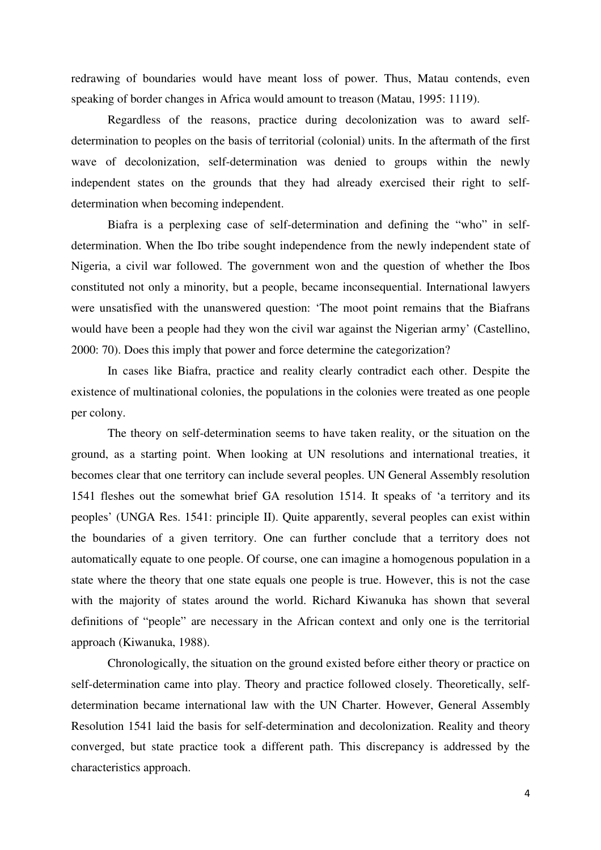redrawing of boundaries would have meant loss of power. Thus, Matau contends, even speaking of border changes in Africa would amount to treason (Matau, 1995: 1119).

Regardless of the reasons, practice during decolonization was to award selfdetermination to peoples on the basis of territorial (colonial) units. In the aftermath of the first wave of decolonization, self-determination was denied to groups within the newly independent states on the grounds that they had already exercised their right to selfdetermination when becoming independent.

Biafra is a perplexing case of self-determination and defining the "who" in selfdetermination. When the Ibo tribe sought independence from the newly independent state of Nigeria, a civil war followed. The government won and the question of whether the Ibos constituted not only a minority, but a people, became inconsequential. International lawyers were unsatisfied with the unanswered question: 'The moot point remains that the Biafrans would have been a people had they won the civil war against the Nigerian army' (Castellino, 2000: 70). Does this imply that power and force determine the categorization?

In cases like Biafra, practice and reality clearly contradict each other. Despite the existence of multinational colonies, the populations in the colonies were treated as one people per colony.

The theory on self-determination seems to have taken reality, or the situation on the ground, as a starting point. When looking at UN resolutions and international treaties, it becomes clear that one territory can include several peoples. UN General Assembly resolution 1541 fleshes out the somewhat brief GA resolution 1514. It speaks of 'a territory and its peoples' (UNGA Res. 1541: principle II). Quite apparently, several peoples can exist within the boundaries of a given territory. One can further conclude that a territory does not automatically equate to one people. Of course, one can imagine a homogenous population in a state where the theory that one state equals one people is true. However, this is not the case with the majority of states around the world. Richard Kiwanuka has shown that several definitions of "people" are necessary in the African context and only one is the territorial approach (Kiwanuka, 1988).

Chronologically, the situation on the ground existed before either theory or practice on self-determination came into play. Theory and practice followed closely. Theoretically, selfdetermination became international law with the UN Charter. However, General Assembly Resolution 1541 laid the basis for self-determination and decolonization. Reality and theory converged, but state practice took a different path. This discrepancy is addressed by the characteristics approach.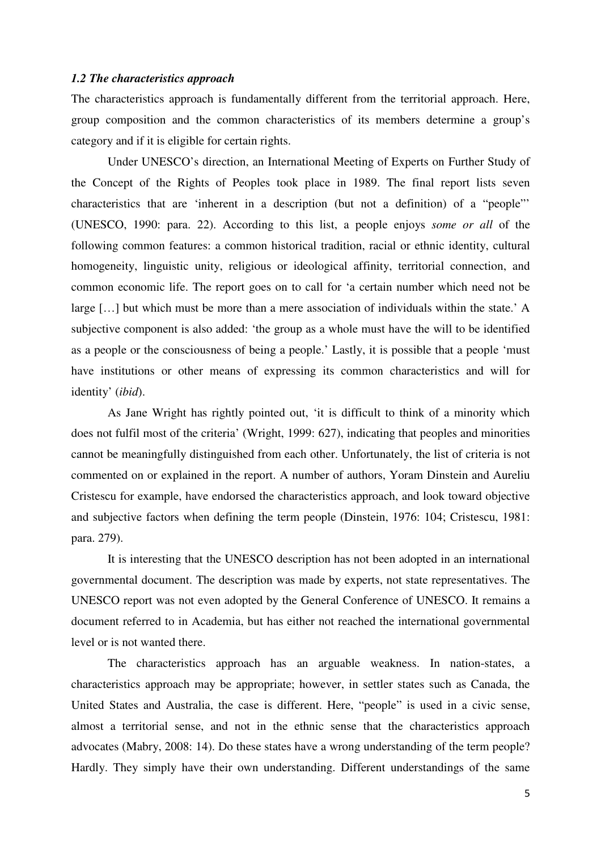#### *1.2 The characteristics approach*

The characteristics approach is fundamentally different from the territorial approach. Here, group composition and the common characteristics of its members determine a group's category and if it is eligible for certain rights.

Under UNESCO's direction, an International Meeting of Experts on Further Study of the Concept of the Rights of Peoples took place in 1989. The final report lists seven characteristics that are 'inherent in a description (but not a definition) of a "people"' (UNESCO, 1990: para. 22). According to this list, a people enjoys *some or all* of the following common features: a common historical tradition, racial or ethnic identity, cultural homogeneity, linguistic unity, religious or ideological affinity, territorial connection, and common economic life. The report goes on to call for 'a certain number which need not be large […] but which must be more than a mere association of individuals within the state.' A subjective component is also added: 'the group as a whole must have the will to be identified as a people or the consciousness of being a people.' Lastly, it is possible that a people 'must have institutions or other means of expressing its common characteristics and will for identity' (*ibid*).

As Jane Wright has rightly pointed out, 'it is difficult to think of a minority which does not fulfil most of the criteria' (Wright, 1999: 627), indicating that peoples and minorities cannot be meaningfully distinguished from each other. Unfortunately, the list of criteria is not commented on or explained in the report. A number of authors, Yoram Dinstein and Aureliu Cristescu for example, have endorsed the characteristics approach, and look toward objective and subjective factors when defining the term people (Dinstein, 1976: 104; Cristescu, 1981: para. 279).

It is interesting that the UNESCO description has not been adopted in an international governmental document. The description was made by experts, not state representatives. The UNESCO report was not even adopted by the General Conference of UNESCO. It remains a document referred to in Academia, but has either not reached the international governmental level or is not wanted there.

The characteristics approach has an arguable weakness. In nation-states, a characteristics approach may be appropriate; however, in settler states such as Canada, the United States and Australia, the case is different. Here, "people" is used in a civic sense, almost a territorial sense, and not in the ethnic sense that the characteristics approach advocates (Mabry, 2008: 14). Do these states have a wrong understanding of the term people? Hardly. They simply have their own understanding. Different understandings of the same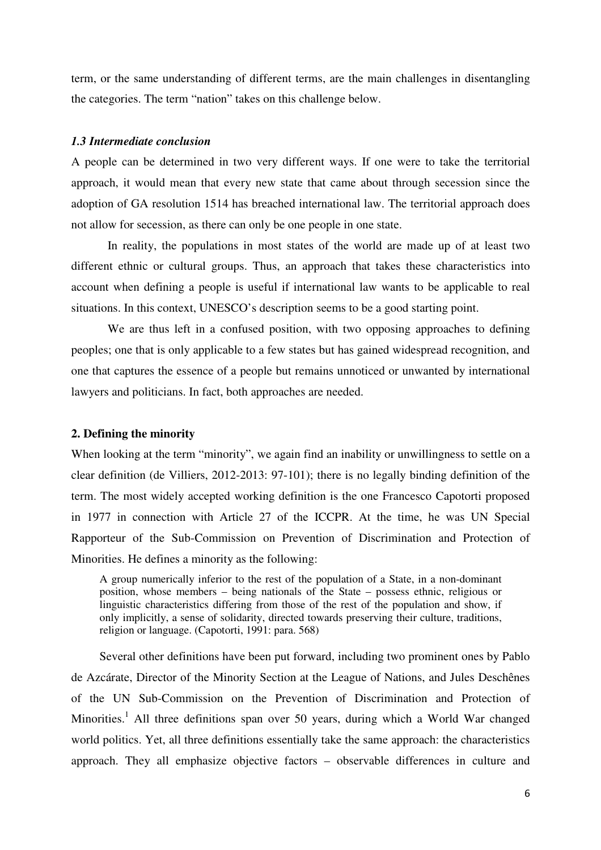term, or the same understanding of different terms, are the main challenges in disentangling the categories. The term "nation" takes on this challenge below.

## *1.3 Intermediate conclusion*

A people can be determined in two very different ways. If one were to take the territorial approach, it would mean that every new state that came about through secession since the adoption of GA resolution 1514 has breached international law. The territorial approach does not allow for secession, as there can only be one people in one state.

In reality, the populations in most states of the world are made up of at least two different ethnic or cultural groups. Thus, an approach that takes these characteristics into account when defining a people is useful if international law wants to be applicable to real situations. In this context, UNESCO's description seems to be a good starting point.

We are thus left in a confused position, with two opposing approaches to defining peoples; one that is only applicable to a few states but has gained widespread recognition, and one that captures the essence of a people but remains unnoticed or unwanted by international lawyers and politicians. In fact, both approaches are needed.

#### **2. Defining the minority**

When looking at the term "minority", we again find an inability or unwillingness to settle on a clear definition (de Villiers, 2012-2013: 97-101); there is no legally binding definition of the term. The most widely accepted working definition is the one Francesco Capotorti proposed in 1977 in connection with Article 27 of the ICCPR. At the time, he was UN Special Rapporteur of the Sub-Commission on Prevention of Discrimination and Protection of Minorities. He defines a minority as the following:

A group numerically inferior to the rest of the population of a State, in a non-dominant position, whose members – being nationals of the State – possess ethnic, religious or linguistic characteristics differing from those of the rest of the population and show, if only implicitly, a sense of solidarity, directed towards preserving their culture, traditions, religion or language. (Capotorti, 1991: para. 568)

Several other definitions have been put forward, including two prominent ones by Pablo de Azcárate, Director of the Minority Section at the League of Nations, and Jules Deschênes of the UN Sub-Commission on the Prevention of Discrimination and Protection of Minorities.<sup>1</sup> All three definitions span over 50 years, during which a World War changed world politics. Yet, all three definitions essentially take the same approach: the characteristics approach. They all emphasize objective factors – observable differences in culture and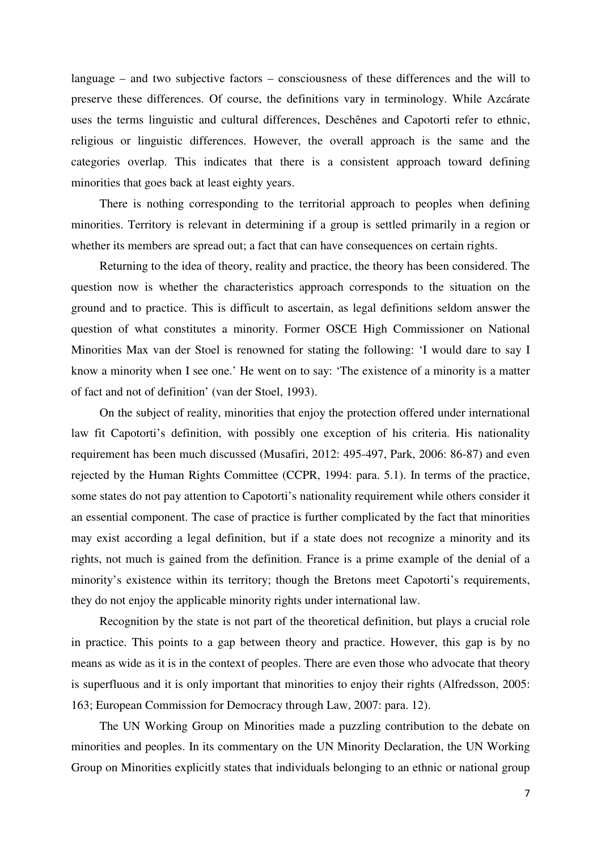language – and two subjective factors – consciousness of these differences and the will to preserve these differences. Of course, the definitions vary in terminology. While Azcárate uses the terms linguistic and cultural differences, Deschênes and Capotorti refer to ethnic, religious or linguistic differences. However, the overall approach is the same and the categories overlap. This indicates that there is a consistent approach toward defining minorities that goes back at least eighty years.

There is nothing corresponding to the territorial approach to peoples when defining minorities. Territory is relevant in determining if a group is settled primarily in a region or whether its members are spread out; a fact that can have consequences on certain rights.

Returning to the idea of theory, reality and practice, the theory has been considered. The question now is whether the characteristics approach corresponds to the situation on the ground and to practice. This is difficult to ascertain, as legal definitions seldom answer the question of what constitutes a minority. Former OSCE High Commissioner on National Minorities Max van der Stoel is renowned for stating the following: 'I would dare to say I know a minority when I see one.' He went on to say: 'The existence of a minority is a matter of fact and not of definition' (van der Stoel, 1993).

On the subject of reality, minorities that enjoy the protection offered under international law fit Capotorti's definition, with possibly one exception of his criteria. His nationality requirement has been much discussed (Musafiri, 2012: 495-497, Park, 2006: 86-87) and even rejected by the Human Rights Committee (CCPR, 1994: para. 5.1). In terms of the practice, some states do not pay attention to Capotorti's nationality requirement while others consider it an essential component. The case of practice is further complicated by the fact that minorities may exist according a legal definition, but if a state does not recognize a minority and its rights, not much is gained from the definition. France is a prime example of the denial of a minority's existence within its territory; though the Bretons meet Capotorti's requirements, they do not enjoy the applicable minority rights under international law.

Recognition by the state is not part of the theoretical definition, but plays a crucial role in practice. This points to a gap between theory and practice. However, this gap is by no means as wide as it is in the context of peoples. There are even those who advocate that theory is superfluous and it is only important that minorities to enjoy their rights (Alfredsson, 2005: 163; European Commission for Democracy through Law, 2007: para. 12).

The UN Working Group on Minorities made a puzzling contribution to the debate on minorities and peoples. In its commentary on the UN Minority Declaration, the UN Working Group on Minorities explicitly states that individuals belonging to an ethnic or national group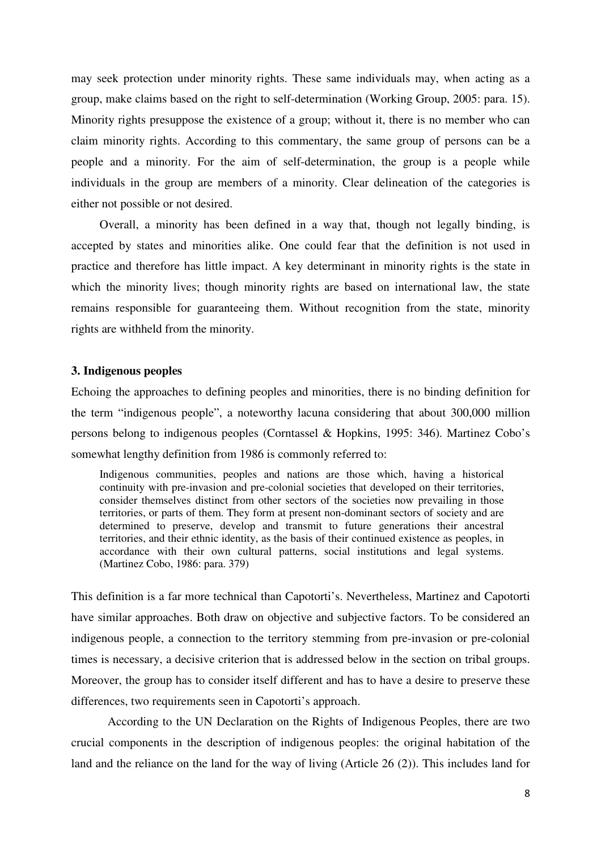may seek protection under minority rights. These same individuals may, when acting as a group, make claims based on the right to self-determination (Working Group, 2005: para. 15). Minority rights presuppose the existence of a group; without it, there is no member who can claim minority rights. According to this commentary, the same group of persons can be a people and a minority. For the aim of self-determination, the group is a people while individuals in the group are members of a minority. Clear delineation of the categories is either not possible or not desired.

Overall, a minority has been defined in a way that, though not legally binding, is accepted by states and minorities alike. One could fear that the definition is not used in practice and therefore has little impact. A key determinant in minority rights is the state in which the minority lives; though minority rights are based on international law, the state remains responsible for guaranteeing them. Without recognition from the state, minority rights are withheld from the minority.

### **3. Indigenous peoples**

Echoing the approaches to defining peoples and minorities, there is no binding definition for the term "indigenous people", a noteworthy lacuna considering that about 300,000 million persons belong to indigenous peoples (Corntassel & Hopkins, 1995: 346). Martinez Cobo's somewhat lengthy definition from 1986 is commonly referred to:

Indigenous communities, peoples and nations are those which, having a historical continuity with pre-invasion and pre-colonial societies that developed on their territories, consider themselves distinct from other sectors of the societies now prevailing in those territories, or parts of them. They form at present non-dominant sectors of society and are determined to preserve, develop and transmit to future generations their ancestral territories, and their ethnic identity, as the basis of their continued existence as peoples, in accordance with their own cultural patterns, social institutions and legal systems. (Martinez Cobo, 1986: para. 379)

This definition is a far more technical than Capotorti's. Nevertheless, Martinez and Capotorti have similar approaches. Both draw on objective and subjective factors. To be considered an indigenous people, a connection to the territory stemming from pre-invasion or pre-colonial times is necessary, a decisive criterion that is addressed below in the section on tribal groups. Moreover, the group has to consider itself different and has to have a desire to preserve these differences, two requirements seen in Capotorti's approach.

According to the UN Declaration on the Rights of Indigenous Peoples, there are two crucial components in the description of indigenous peoples: the original habitation of the land and the reliance on the land for the way of living (Article 26 (2)). This includes land for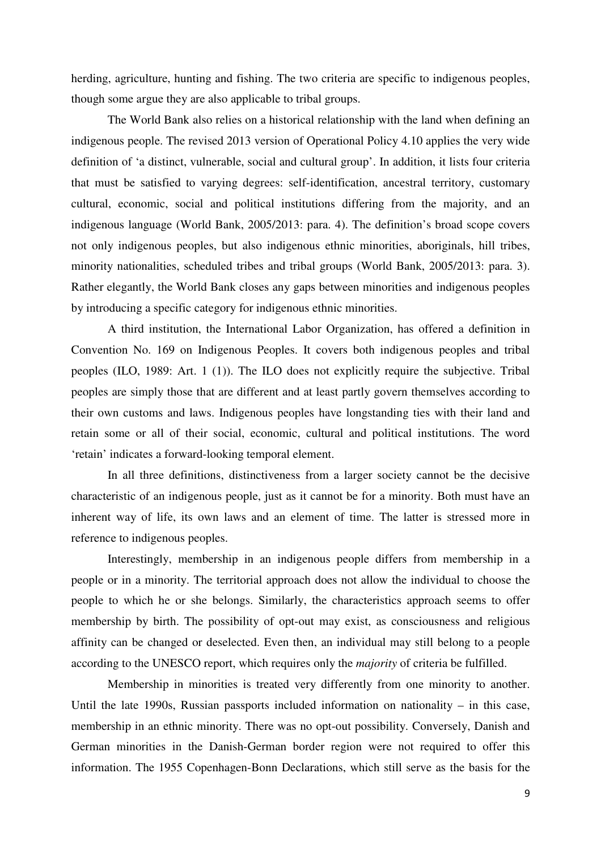herding, agriculture, hunting and fishing. The two criteria are specific to indigenous peoples, though some argue they are also applicable to tribal groups.

The World Bank also relies on a historical relationship with the land when defining an indigenous people. The revised 2013 version of Operational Policy 4.10 applies the very wide definition of 'a distinct, vulnerable, social and cultural group'. In addition, it lists four criteria that must be satisfied to varying degrees: self-identification, ancestral territory, customary cultural, economic, social and political institutions differing from the majority, and an indigenous language (World Bank, 2005/2013: para. 4). The definition's broad scope covers not only indigenous peoples, but also indigenous ethnic minorities, aboriginals, hill tribes, minority nationalities, scheduled tribes and tribal groups (World Bank, 2005/2013: para. 3). Rather elegantly, the World Bank closes any gaps between minorities and indigenous peoples by introducing a specific category for indigenous ethnic minorities.

A third institution, the International Labor Organization, has offered a definition in Convention No. 169 on Indigenous Peoples. It covers both indigenous peoples and tribal peoples (ILO, 1989: Art. 1 (1)). The ILO does not explicitly require the subjective. Tribal peoples are simply those that are different and at least partly govern themselves according to their own customs and laws. Indigenous peoples have longstanding ties with their land and retain some or all of their social, economic, cultural and political institutions. The word 'retain' indicates a forward-looking temporal element.

In all three definitions, distinctiveness from a larger society cannot be the decisive characteristic of an indigenous people, just as it cannot be for a minority. Both must have an inherent way of life, its own laws and an element of time. The latter is stressed more in reference to indigenous peoples.

Interestingly, membership in an indigenous people differs from membership in a people or in a minority. The territorial approach does not allow the individual to choose the people to which he or she belongs. Similarly, the characteristics approach seems to offer membership by birth. The possibility of opt-out may exist, as consciousness and religious affinity can be changed or deselected. Even then, an individual may still belong to a people according to the UNESCO report, which requires only the *majority* of criteria be fulfilled.

Membership in minorities is treated very differently from one minority to another. Until the late 1990s, Russian passports included information on nationality  $-$  in this case, membership in an ethnic minority. There was no opt-out possibility. Conversely, Danish and German minorities in the Danish-German border region were not required to offer this information. The 1955 Copenhagen-Bonn Declarations, which still serve as the basis for the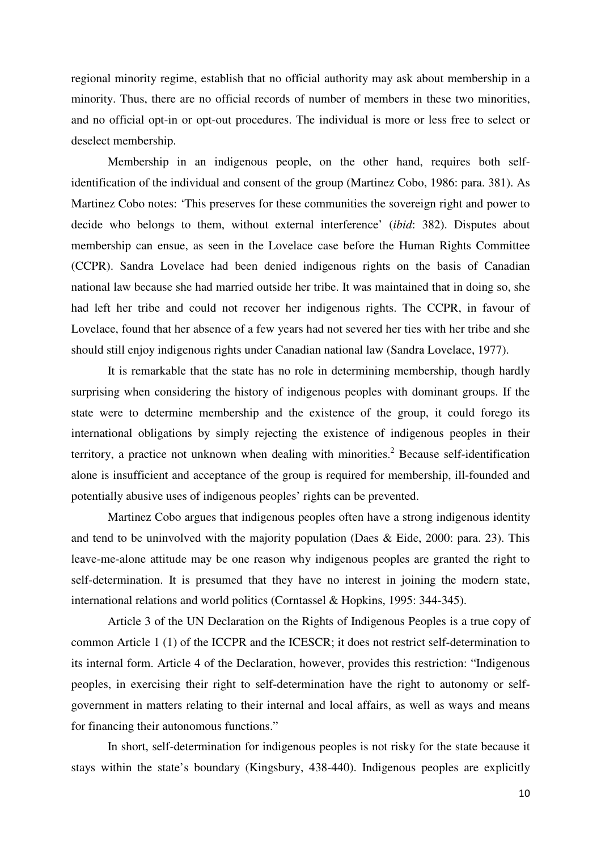regional minority regime, establish that no official authority may ask about membership in a minority. Thus, there are no official records of number of members in these two minorities, and no official opt-in or opt-out procedures. The individual is more or less free to select or deselect membership.

Membership in an indigenous people, on the other hand, requires both selfidentification of the individual and consent of the group (Martinez Cobo, 1986: para. 381). As Martinez Cobo notes: 'This preserves for these communities the sovereign right and power to decide who belongs to them, without external interference' (*ibid*: 382). Disputes about membership can ensue, as seen in the Lovelace case before the Human Rights Committee (CCPR). Sandra Lovelace had been denied indigenous rights on the basis of Canadian national law because she had married outside her tribe. It was maintained that in doing so, she had left her tribe and could not recover her indigenous rights. The CCPR, in favour of Lovelace, found that her absence of a few years had not severed her ties with her tribe and she should still enjoy indigenous rights under Canadian national law (Sandra Lovelace, 1977).

It is remarkable that the state has no role in determining membership, though hardly surprising when considering the history of indigenous peoples with dominant groups. If the state were to determine membership and the existence of the group, it could forego its international obligations by simply rejecting the existence of indigenous peoples in their territory, a practice not unknown when dealing with minorities.<sup>2</sup> Because self-identification alone is insufficient and acceptance of the group is required for membership, ill-founded and potentially abusive uses of indigenous peoples' rights can be prevented.

Martinez Cobo argues that indigenous peoples often have a strong indigenous identity and tend to be uninvolved with the majority population (Daes & Eide, 2000: para. 23). This leave-me-alone attitude may be one reason why indigenous peoples are granted the right to self-determination. It is presumed that they have no interest in joining the modern state, international relations and world politics (Corntassel & Hopkins, 1995: 344-345).

Article 3 of the UN Declaration on the Rights of Indigenous Peoples is a true copy of common Article 1 (1) of the ICCPR and the ICESCR; it does not restrict self-determination to its internal form. Article 4 of the Declaration, however, provides this restriction: "Indigenous peoples, in exercising their right to self-determination have the right to autonomy or selfgovernment in matters relating to their internal and local affairs, as well as ways and means for financing their autonomous functions."

In short, self-determination for indigenous peoples is not risky for the state because it stays within the state's boundary (Kingsbury, 438-440). Indigenous peoples are explicitly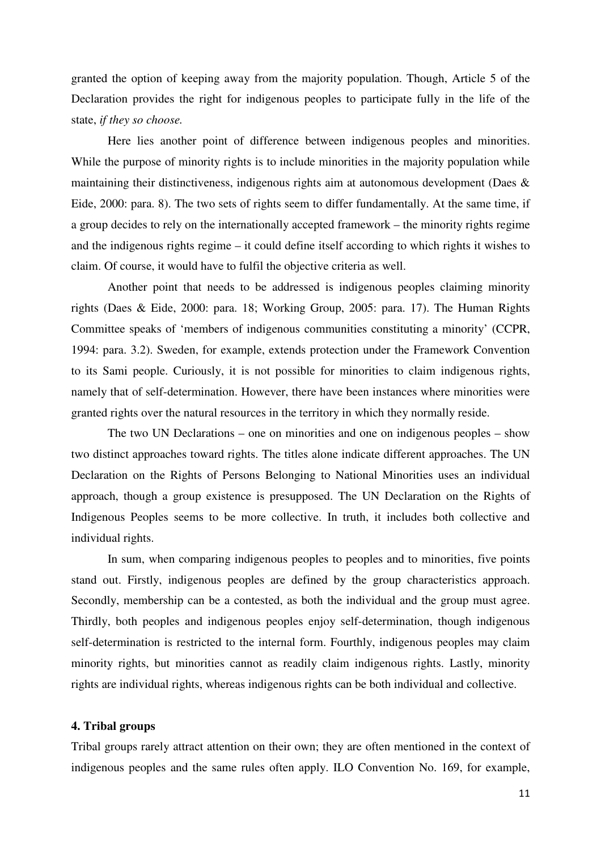granted the option of keeping away from the majority population. Though, Article 5 of the Declaration provides the right for indigenous peoples to participate fully in the life of the state, *if they so choose.* 

Here lies another point of difference between indigenous peoples and minorities. While the purpose of minority rights is to include minorities in the majority population while maintaining their distinctiveness, indigenous rights aim at autonomous development (Daes & Eide, 2000: para. 8). The two sets of rights seem to differ fundamentally. At the same time, if a group decides to rely on the internationally accepted framework – the minority rights regime and the indigenous rights regime – it could define itself according to which rights it wishes to claim. Of course, it would have to fulfil the objective criteria as well.

Another point that needs to be addressed is indigenous peoples claiming minority rights (Daes & Eide, 2000: para. 18; Working Group, 2005: para. 17). The Human Rights Committee speaks of 'members of indigenous communities constituting a minority' (CCPR, 1994: para. 3.2). Sweden, for example, extends protection under the Framework Convention to its Sami people. Curiously, it is not possible for minorities to claim indigenous rights, namely that of self-determination. However, there have been instances where minorities were granted rights over the natural resources in the territory in which they normally reside.

The two UN Declarations – one on minorities and one on indigenous peoples – show two distinct approaches toward rights. The titles alone indicate different approaches. The UN Declaration on the Rights of Persons Belonging to National Minorities uses an individual approach, though a group existence is presupposed. The UN Declaration on the Rights of Indigenous Peoples seems to be more collective. In truth, it includes both collective and individual rights.

In sum, when comparing indigenous peoples to peoples and to minorities, five points stand out. Firstly, indigenous peoples are defined by the group characteristics approach. Secondly, membership can be a contested, as both the individual and the group must agree. Thirdly, both peoples and indigenous peoples enjoy self-determination, though indigenous self-determination is restricted to the internal form. Fourthly, indigenous peoples may claim minority rights, but minorities cannot as readily claim indigenous rights. Lastly, minority rights are individual rights, whereas indigenous rights can be both individual and collective.

# **4. Tribal groups**

Tribal groups rarely attract attention on their own; they are often mentioned in the context of indigenous peoples and the same rules often apply. ILO Convention No. 169, for example,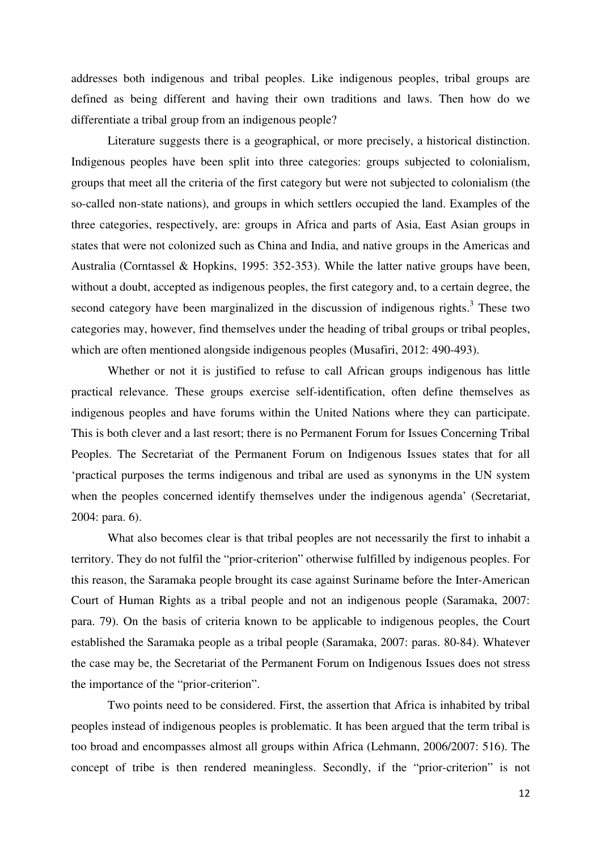addresses both indigenous and tribal peoples. Like indigenous peoples, tribal groups are defined as being different and having their own traditions and laws. Then how do we differentiate a tribal group from an indigenous people?

Literature suggests there is a geographical, or more precisely, a historical distinction. Indigenous peoples have been split into three categories: groups subjected to colonialism, groups that meet all the criteria of the first category but were not subjected to colonialism (the so-called non-state nations), and groups in which settlers occupied the land. Examples of the three categories, respectively, are: groups in Africa and parts of Asia, East Asian groups in states that were not colonized such as China and India, and native groups in the Americas and Australia (Corntassel & Hopkins, 1995: 352-353). While the latter native groups have been, without a doubt, accepted as indigenous peoples, the first category and, to a certain degree, the second category have been marginalized in the discussion of indigenous rights. $3$  These two categories may, however, find themselves under the heading of tribal groups or tribal peoples, which are often mentioned alongside indigenous peoples (Musafiri, 2012: 490-493).

Whether or not it is justified to refuse to call African groups indigenous has little practical relevance. These groups exercise self-identification, often define themselves as indigenous peoples and have forums within the United Nations where they can participate. This is both clever and a last resort; there is no Permanent Forum for Issues Concerning Tribal Peoples. The Secretariat of the Permanent Forum on Indigenous Issues states that for all 'practical purposes the terms indigenous and tribal are used as synonyms in the UN system when the peoples concerned identify themselves under the indigenous agenda' (Secretariat, 2004: para. 6).

What also becomes clear is that tribal peoples are not necessarily the first to inhabit a territory. They do not fulfil the "prior-criterion" otherwise fulfilled by indigenous peoples. For this reason, the Saramaka people brought its case against Suriname before the Inter-American Court of Human Rights as a tribal people and not an indigenous people (Saramaka, 2007: para. 79). On the basis of criteria known to be applicable to indigenous peoples, the Court established the Saramaka people as a tribal people (Saramaka, 2007: paras. 80-84). Whatever the case may be, the Secretariat of the Permanent Forum on Indigenous Issues does not stress the importance of the "prior-criterion".

Two points need to be considered. First, the assertion that Africa is inhabited by tribal peoples instead of indigenous peoples is problematic. It has been argued that the term tribal is too broad and encompasses almost all groups within Africa (Lehmann, 2006/2007: 516). The concept of tribe is then rendered meaningless. Secondly, if the "prior-criterion" is not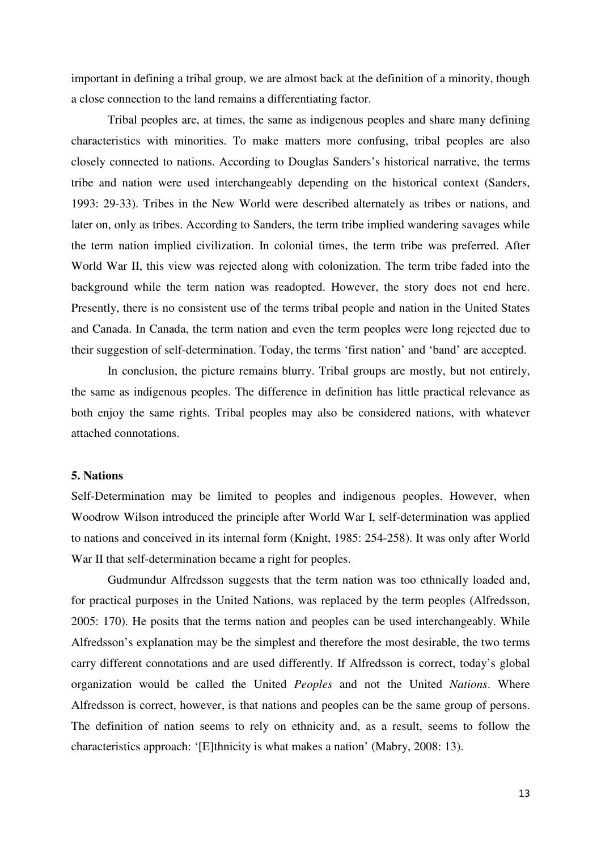important in defining a tribal group, we are almost back at the definition of a minority, though a close connection to the land remains a differentiating factor.

Tribal peoples are, at times, the same as indigenous peoples and share many defining characteristics with minorities. To make matters more confusing, tribal peoples are also closely connected to nations. According to Douglas Sanders's historical narrative, the terms tribe and nation were used interchangeably depending on the historical context (Sanders, 1993: 29-33). Tribes in the New World were described alternately as tribes or nations, and later on, only as tribes. According to Sanders, the term tribe implied wandering savages while the term nation implied civilization. In colonial times, the term tribe was preferred. After World War II, this view was rejected along with colonization. The term tribe faded into the background while the term nation was readopted. However, the story does not end here. Presently, there is no consistent use of the terms tribal people and nation in the United States and Canada. In Canada, the term nation and even the term peoples were long rejected due to their suggestion of self-determination. Today, the terms 'first nation' and 'band' are accepted.

In conclusion, the picture remains blurry. Tribal groups are mostly, but not entirely, the same as indigenous peoples. The difference in definition has little practical relevance as both enjoy the same rights. Tribal peoples may also be considered nations, with whatever attached connotations.

# **5. Nations**

Self-Determination may be limited to peoples and indigenous peoples. However, when Woodrow Wilson introduced the principle after World War I, self-determination was applied to nations and conceived in its internal form (Knight, 1985: 254-258). It was only after World War II that self-determination became a right for peoples.

Gudmundur Alfredsson suggests that the term nation was too ethnically loaded and, for practical purposes in the United Nations, was replaced by the term peoples (Alfredsson, 2005: 170). He posits that the terms nation and peoples can be used interchangeably. While Alfredsson's explanation may be the simplest and therefore the most desirable, the two terms carry different connotations and are used differently. If Alfredsson is correct, today's global organization would be called the United *Peoples* and not the United *Nations*. Where Alfredsson is correct, however, is that nations and peoples can be the same group of persons. The definition of nation seems to rely on ethnicity and, as a result, seems to follow the characteristics approach: '[E]thnicity is what makes a nation' (Mabry, 2008: 13).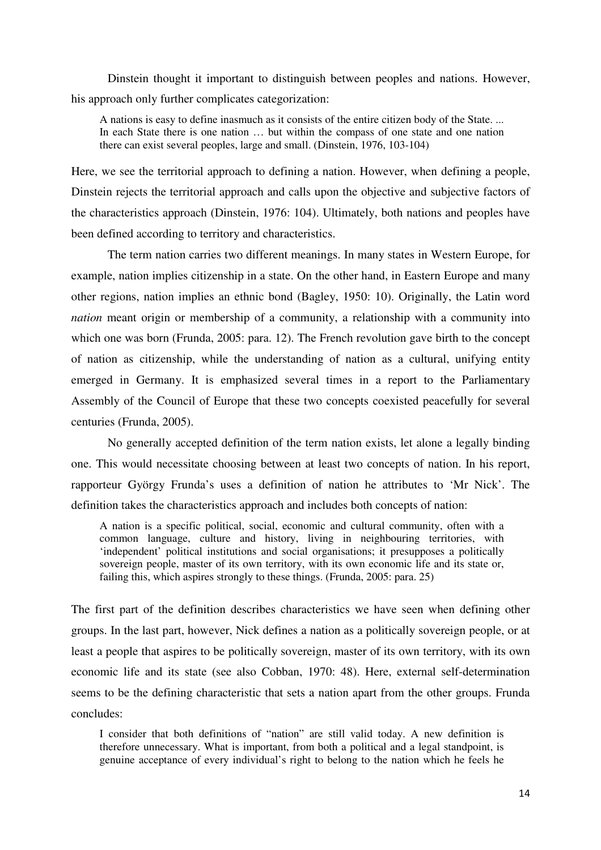Dinstein thought it important to distinguish between peoples and nations. However, his approach only further complicates categorization:

A nations is easy to define inasmuch as it consists of the entire citizen body of the State. ... In each State there is one nation … but within the compass of one state and one nation there can exist several peoples, large and small. (Dinstein, 1976, 103-104)

Here, we see the territorial approach to defining a nation. However, when defining a people, Dinstein rejects the territorial approach and calls upon the objective and subjective factors of the characteristics approach (Dinstein, 1976: 104). Ultimately, both nations and peoples have been defined according to territory and characteristics.

The term nation carries two different meanings. In many states in Western Europe, for example, nation implies citizenship in a state. On the other hand, in Eastern Europe and many other regions, nation implies an ethnic bond (Bagley, 1950: 10). Originally, the Latin word *nation* meant origin or membership of a community, a relationship with a community into which one was born (Frunda, 2005: para. 12). The French revolution gave birth to the concept of nation as citizenship, while the understanding of nation as a cultural, unifying entity emerged in Germany. It is emphasized several times in a report to the Parliamentary Assembly of the Council of Europe that these two concepts coexisted peacefully for several centuries (Frunda, 2005).

No generally accepted definition of the term nation exists, let alone a legally binding one. This would necessitate choosing between at least two concepts of nation. In his report, rapporteur György Frunda's uses a definition of nation he attributes to 'Mr Nick'. The definition takes the characteristics approach and includes both concepts of nation:

A nation is a specific political, social, economic and cultural community, often with a common language, culture and history, living in neighbouring territories, with 'independent' political institutions and social organisations; it presupposes a politically sovereign people, master of its own territory, with its own economic life and its state or, failing this, which aspires strongly to these things. (Frunda, 2005: para. 25)

The first part of the definition describes characteristics we have seen when defining other groups. In the last part, however, Nick defines a nation as a politically sovereign people, or at least a people that aspires to be politically sovereign, master of its own territory, with its own economic life and its state (see also Cobban, 1970: 48). Here, external self-determination seems to be the defining characteristic that sets a nation apart from the other groups. Frunda concludes:

I consider that both definitions of "nation" are still valid today. A new definition is therefore unnecessary. What is important, from both a political and a legal standpoint, is genuine acceptance of every individual's right to belong to the nation which he feels he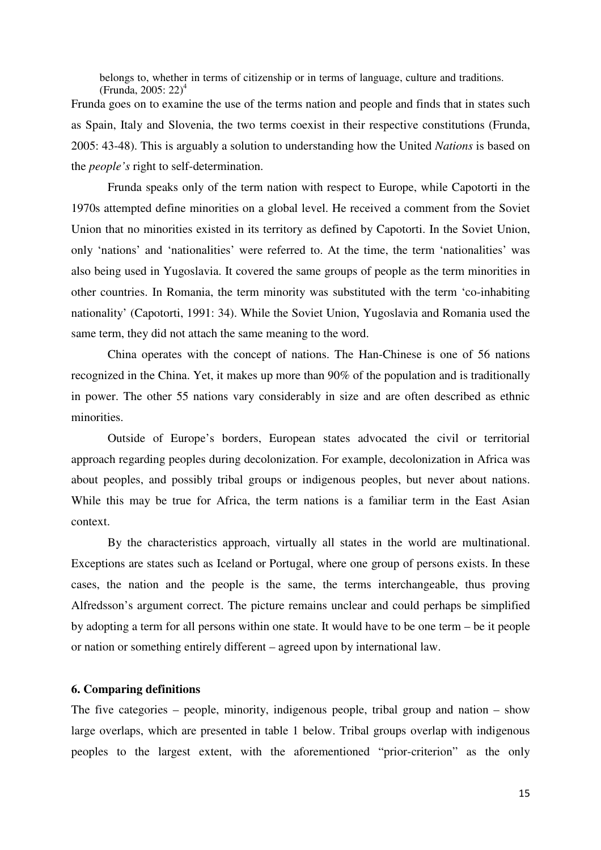belongs to, whether in terms of citizenship or in terms of language, culture and traditions. (Frunda, 2005: 22)<sup>4</sup>

Frunda goes on to examine the use of the terms nation and people and finds that in states such as Spain, Italy and Slovenia, the two terms coexist in their respective constitutions (Frunda, 2005: 43-48). This is arguably a solution to understanding how the United *Nations* is based on the *people's* right to self-determination.

Frunda speaks only of the term nation with respect to Europe, while Capotorti in the 1970s attempted define minorities on a global level. He received a comment from the Soviet Union that no minorities existed in its territory as defined by Capotorti. In the Soviet Union, only 'nations' and 'nationalities' were referred to. At the time, the term 'nationalities' was also being used in Yugoslavia. It covered the same groups of people as the term minorities in other countries. In Romania, the term minority was substituted with the term 'co-inhabiting nationality' (Capotorti, 1991: 34). While the Soviet Union, Yugoslavia and Romania used the same term, they did not attach the same meaning to the word.

China operates with the concept of nations. The Han-Chinese is one of 56 nations recognized in the China. Yet, it makes up more than 90% of the population and is traditionally in power. The other 55 nations vary considerably in size and are often described as ethnic minorities.

Outside of Europe's borders, European states advocated the civil or territorial approach regarding peoples during decolonization. For example, decolonization in Africa was about peoples, and possibly tribal groups or indigenous peoples, but never about nations. While this may be true for Africa, the term nations is a familiar term in the East Asian context.

By the characteristics approach, virtually all states in the world are multinational. Exceptions are states such as Iceland or Portugal, where one group of persons exists. In these cases, the nation and the people is the same, the terms interchangeable, thus proving Alfredsson's argument correct. The picture remains unclear and could perhaps be simplified by adopting a term for all persons within one state. It would have to be one term – be it people or nation or something entirely different – agreed upon by international law.

# **6. Comparing definitions**

The five categories – people, minority, indigenous people, tribal group and nation – show large overlaps, which are presented in table 1 below. Tribal groups overlap with indigenous peoples to the largest extent, with the aforementioned "prior-criterion" as the only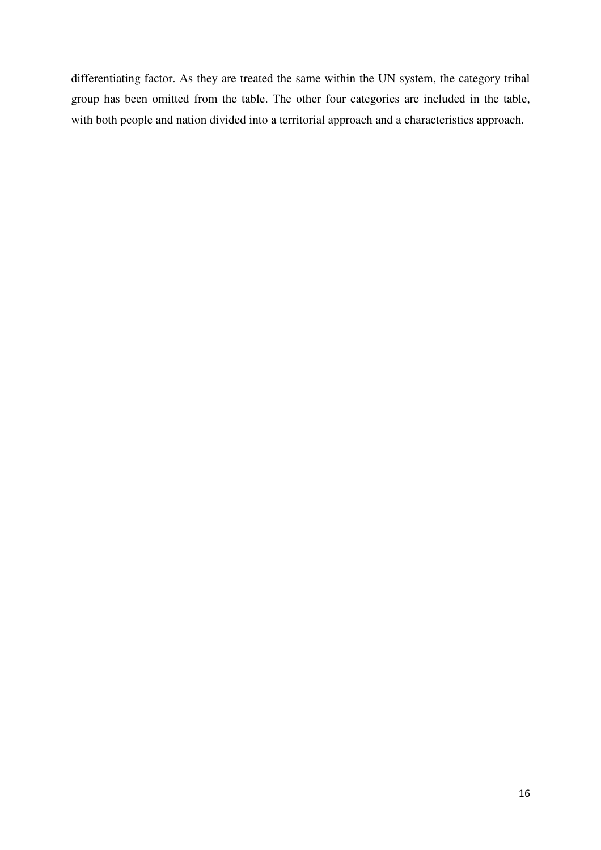differentiating factor. As they are treated the same within the UN system, the category tribal group has been omitted from the table. The other four categories are included in the table, with both people and nation divided into a territorial approach and a characteristics approach.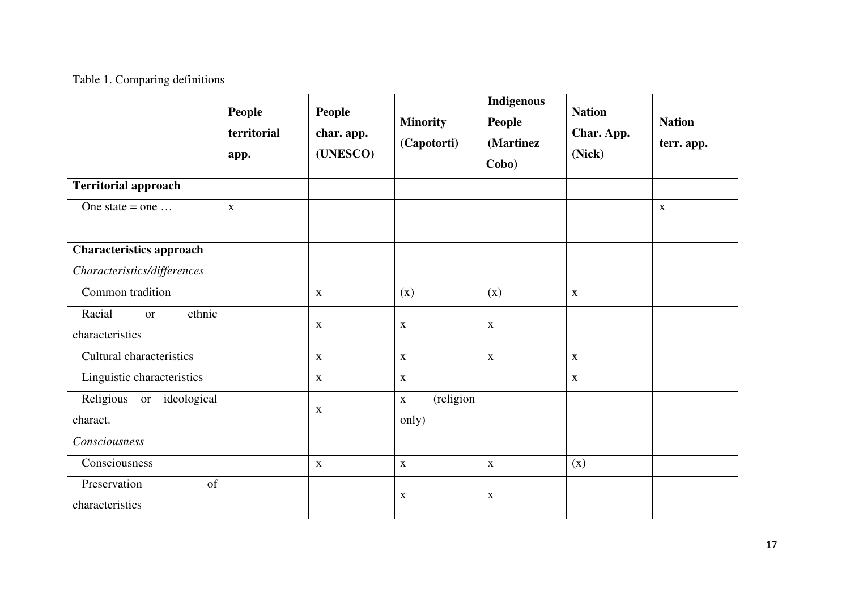# Table 1. Comparing definitions

|                                                  | <b>People</b><br>territorial<br>app. | <b>People</b><br>char. app.<br>(UNESCO) | <b>Minority</b><br>(Capotorti)    | Indigenous<br><b>People</b><br>(Martinez<br>Cobo) | <b>Nation</b><br>Char. App.<br>(Nick) | <b>Nation</b><br>terr. app. |
|--------------------------------------------------|--------------------------------------|-----------------------------------------|-----------------------------------|---------------------------------------------------|---------------------------------------|-----------------------------|
| <b>Territorial approach</b>                      |                                      |                                         |                                   |                                                   |                                       |                             |
| One state $=$ one                                | $\mathbf X$                          |                                         |                                   |                                                   |                                       | $\mathbf X$                 |
|                                                  |                                      |                                         |                                   |                                                   |                                       |                             |
| <b>Characteristics approach</b>                  |                                      |                                         |                                   |                                                   |                                       |                             |
| Characteristics/differences                      |                                      |                                         |                                   |                                                   |                                       |                             |
| Common tradition                                 |                                      | $\mathbf X$                             | (x)                               | (x)                                               | $\mathbf X$                           |                             |
| Racial<br>ethnic<br><b>or</b><br>characteristics |                                      | $\mathbf X$                             | $\mathbf{X}$                      | $\mathbf X$                                       |                                       |                             |
| Cultural characteristics                         |                                      | $\mathbf X$                             | $\mathbf X$                       | $\mathbf X$                                       | $\mathbf X$                           |                             |
| Linguistic characteristics                       |                                      | $\mathbf{X}$                            | $\mathbf X$                       |                                                   | $\mathbf X$                           |                             |
| Religious or<br>ideological<br>charact.          |                                      | X                                       | (religion<br>$\mathbf X$<br>only) |                                                   |                                       |                             |
| Consciousness                                    |                                      |                                         |                                   |                                                   |                                       |                             |
| Consciousness                                    |                                      | $\mathbf X$                             | $\mathbf X$                       | $\mathbf X$                                       | (x)                                   |                             |
| Preservation<br>of<br>characteristics            |                                      |                                         | $\mathbf{X}$                      | $\mathbf X$                                       |                                       |                             |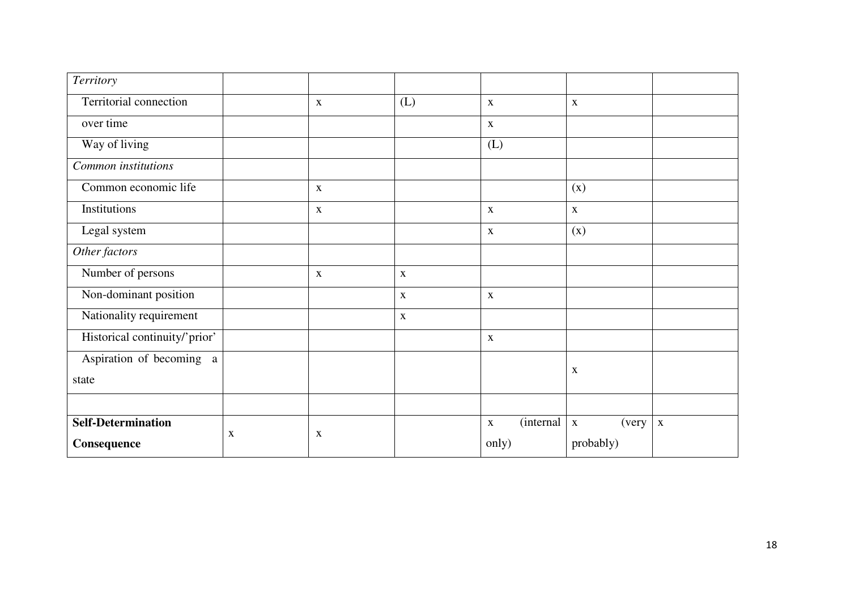| <b>Territory</b>              |   |              |             |                                  |                      |             |
|-------------------------------|---|--------------|-------------|----------------------------------|----------------------|-------------|
| Territorial connection        |   | $\mathbf{X}$ | (L)         | $\mathbf X$                      | $\mathbf X$          |             |
| over time                     |   |              |             | $\mathbf X$                      |                      |             |
| Way of living                 |   |              |             | (L)                              |                      |             |
| Common institutions           |   |              |             |                                  |                      |             |
| Common economic life          |   | $\mathbf{X}$ |             |                                  | (x)                  |             |
| Institutions                  |   | $\mathbf{X}$ |             | $\mathbf{X}$                     | $\mathbf X$          |             |
| Legal system                  |   |              |             | $\mathbf X$                      | (x)                  |             |
| Other factors                 |   |              |             |                                  |                      |             |
| Number of persons             |   | $\mathbf X$  | $\mathbf X$ |                                  |                      |             |
| Non-dominant position         |   |              | $\mathbf X$ | $\mathbf X$                      |                      |             |
| Nationality requirement       |   |              | $\mathbf X$ |                                  |                      |             |
| Historical continuity/'prior' |   |              |             | $\mathbf X$                      |                      |             |
| Aspiration of becoming a      |   |              |             |                                  | X                    |             |
| state                         |   |              |             |                                  |                      |             |
|                               |   |              |             |                                  |                      |             |
| <b>Self-Determination</b>     | X | X            |             | <i>(internal)</i><br>$\mathbf X$ | (very<br>$\mathbf X$ | $\mathbf X$ |
| Consequence                   |   |              |             | only)                            | probably)            |             |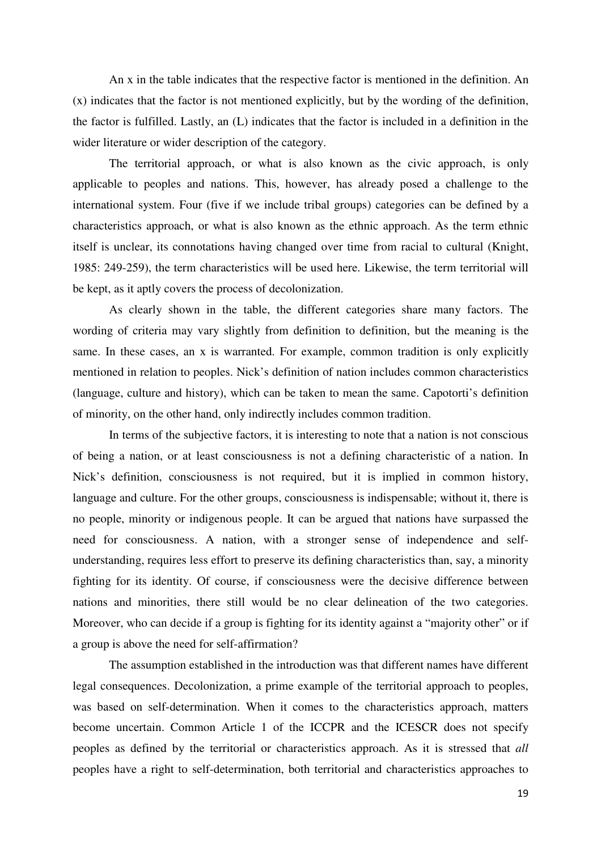An x in the table indicates that the respective factor is mentioned in the definition. An (x) indicates that the factor is not mentioned explicitly, but by the wording of the definition, the factor is fulfilled. Lastly, an (L) indicates that the factor is included in a definition in the wider literature or wider description of the category.

The territorial approach, or what is also known as the civic approach, is only applicable to peoples and nations. This, however, has already posed a challenge to the international system. Four (five if we include tribal groups) categories can be defined by a characteristics approach, or what is also known as the ethnic approach. As the term ethnic itself is unclear, its connotations having changed over time from racial to cultural (Knight, 1985: 249-259), the term characteristics will be used here. Likewise, the term territorial will be kept, as it aptly covers the process of decolonization.

As clearly shown in the table, the different categories share many factors. The wording of criteria may vary slightly from definition to definition, but the meaning is the same. In these cases, an x is warranted. For example, common tradition is only explicitly mentioned in relation to peoples. Nick's definition of nation includes common characteristics (language, culture and history), which can be taken to mean the same. Capotorti's definition of minority, on the other hand, only indirectly includes common tradition.

In terms of the subjective factors, it is interesting to note that a nation is not conscious of being a nation, or at least consciousness is not a defining characteristic of a nation. In Nick's definition, consciousness is not required, but it is implied in common history, language and culture. For the other groups, consciousness is indispensable; without it, there is no people, minority or indigenous people. It can be argued that nations have surpassed the need for consciousness. A nation, with a stronger sense of independence and selfunderstanding, requires less effort to preserve its defining characteristics than, say, a minority fighting for its identity. Of course, if consciousness were the decisive difference between nations and minorities, there still would be no clear delineation of the two categories. Moreover, who can decide if a group is fighting for its identity against a "majority other" or if a group is above the need for self-affirmation?

The assumption established in the introduction was that different names have different legal consequences. Decolonization, a prime example of the territorial approach to peoples, was based on self-determination. When it comes to the characteristics approach, matters become uncertain. Common Article 1 of the ICCPR and the ICESCR does not specify peoples as defined by the territorial or characteristics approach. As it is stressed that *all* peoples have a right to self-determination, both territorial and characteristics approaches to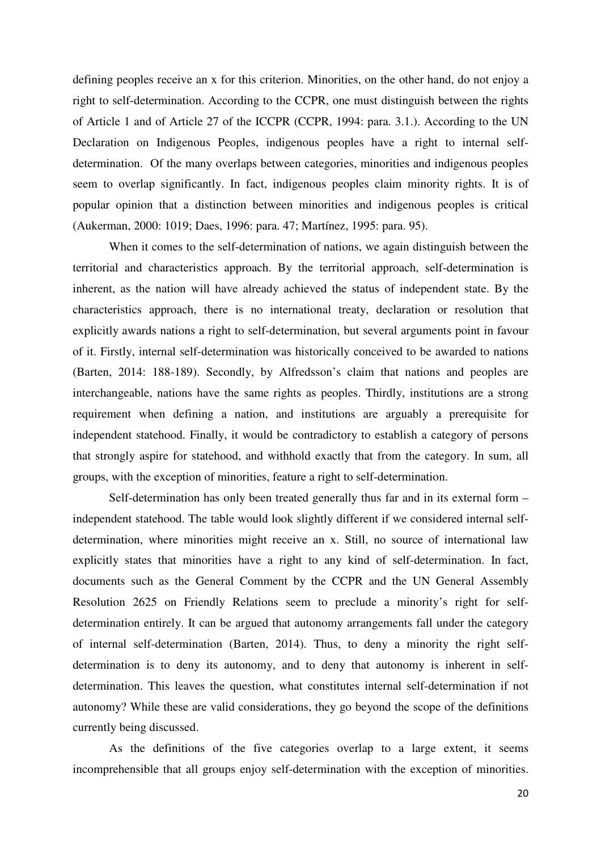defining peoples receive an x for this criterion. Minorities, on the other hand, do not enjoy a right to self-determination. According to the CCPR, one must distinguish between the rights of Article 1 and of Article 27 of the ICCPR (CCPR, 1994: para. 3.1.). According to the UN Declaration on Indigenous Peoples, indigenous peoples have a right to internal selfdetermination. Of the many overlaps between categories, minorities and indigenous peoples seem to overlap significantly. In fact, indigenous peoples claim minority rights. It is of popular opinion that a distinction between minorities and indigenous peoples is critical (Aukerman, 2000: 1019; Daes, 1996: para. 47; Martínez, 1995: para. 95).

When it comes to the self-determination of nations, we again distinguish between the territorial and characteristics approach. By the territorial approach, self-determination is inherent, as the nation will have already achieved the status of independent state. By the characteristics approach, there is no international treaty, declaration or resolution that explicitly awards nations a right to self-determination, but several arguments point in favour of it. Firstly, internal self-determination was historically conceived to be awarded to nations (Barten, 2014: 188-189). Secondly, by Alfredsson's claim that nations and peoples are interchangeable, nations have the same rights as peoples. Thirdly, institutions are a strong requirement when defining a nation, and institutions are arguably a prerequisite for independent statehood. Finally, it would be contradictory to establish a category of persons that strongly aspire for statehood, and withhold exactly that from the category. In sum, all groups, with the exception of minorities, feature a right to self-determination.

Self-determination has only been treated generally thus far and in its external form – independent statehood. The table would look slightly different if we considered internal selfdetermination, where minorities might receive an x. Still, no source of international law explicitly states that minorities have a right to any kind of self-determination. In fact, documents such as the General Comment by the CCPR and the UN General Assembly Resolution 2625 on Friendly Relations seem to preclude a minority's right for selfdetermination entirely. It can be argued that autonomy arrangements fall under the category of internal self-determination (Barten, 2014). Thus, to deny a minority the right selfdetermination is to deny its autonomy, and to deny that autonomy is inherent in selfdetermination. This leaves the question, what constitutes internal self-determination if not autonomy? While these are valid considerations, they go beyond the scope of the definitions currently being discussed.

As the definitions of the five categories overlap to a large extent, it seems incomprehensible that all groups enjoy self-determination with the exception of minorities.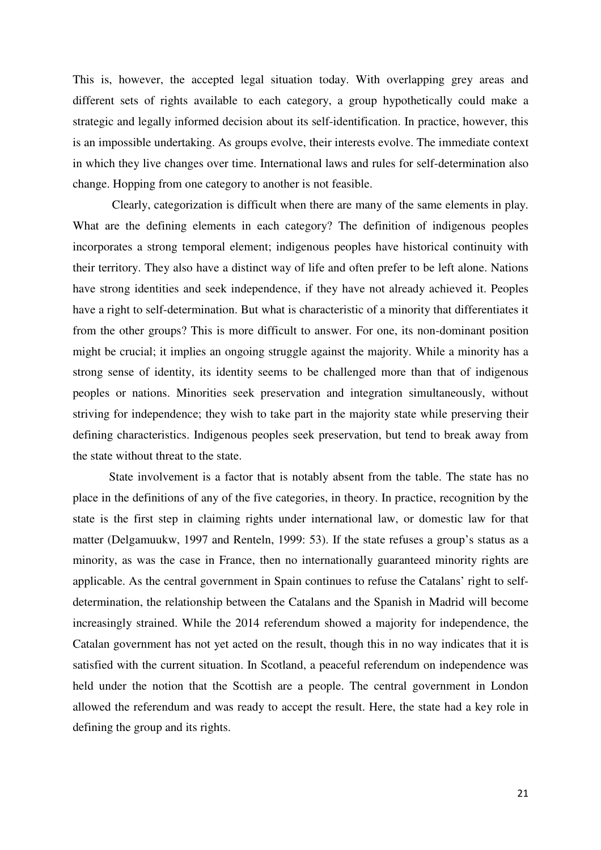This is, however, the accepted legal situation today. With overlapping grey areas and different sets of rights available to each category, a group hypothetically could make a strategic and legally informed decision about its self-identification. In practice, however, this is an impossible undertaking. As groups evolve, their interests evolve. The immediate context in which they live changes over time. International laws and rules for self-determination also change. Hopping from one category to another is not feasible.

 Clearly, categorization is difficult when there are many of the same elements in play. What are the defining elements in each category? The definition of indigenous peoples incorporates a strong temporal element; indigenous peoples have historical continuity with their territory. They also have a distinct way of life and often prefer to be left alone. Nations have strong identities and seek independence, if they have not already achieved it. Peoples have a right to self-determination. But what is characteristic of a minority that differentiates it from the other groups? This is more difficult to answer. For one, its non-dominant position might be crucial; it implies an ongoing struggle against the majority. While a minority has a strong sense of identity, its identity seems to be challenged more than that of indigenous peoples or nations. Minorities seek preservation and integration simultaneously, without striving for independence; they wish to take part in the majority state while preserving their defining characteristics. Indigenous peoples seek preservation, but tend to break away from the state without threat to the state.

State involvement is a factor that is notably absent from the table. The state has no place in the definitions of any of the five categories, in theory. In practice, recognition by the state is the first step in claiming rights under international law, or domestic law for that matter (Delgamuukw, 1997 and Renteln, 1999: 53). If the state refuses a group's status as a minority, as was the case in France, then no internationally guaranteed minority rights are applicable. As the central government in Spain continues to refuse the Catalans' right to selfdetermination, the relationship between the Catalans and the Spanish in Madrid will become increasingly strained. While the 2014 referendum showed a majority for independence, the Catalan government has not yet acted on the result, though this in no way indicates that it is satisfied with the current situation. In Scotland, a peaceful referendum on independence was held under the notion that the Scottish are a people. The central government in London allowed the referendum and was ready to accept the result. Here, the state had a key role in defining the group and its rights.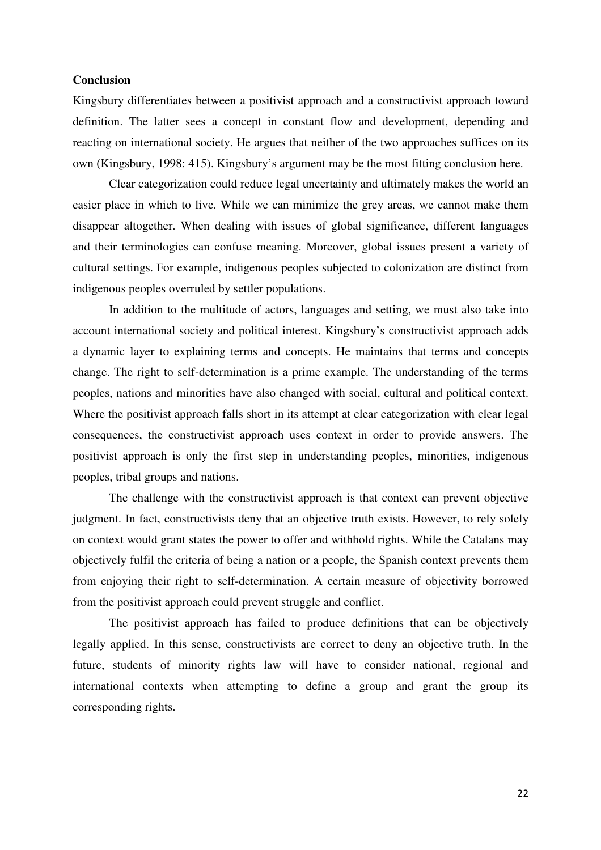# **Conclusion**

Kingsbury differentiates between a positivist approach and a constructivist approach toward definition. The latter sees a concept in constant flow and development, depending and reacting on international society. He argues that neither of the two approaches suffices on its own (Kingsbury, 1998: 415). Kingsbury's argument may be the most fitting conclusion here.

Clear categorization could reduce legal uncertainty and ultimately makes the world an easier place in which to live. While we can minimize the grey areas, we cannot make them disappear altogether. When dealing with issues of global significance, different languages and their terminologies can confuse meaning. Moreover, global issues present a variety of cultural settings. For example, indigenous peoples subjected to colonization are distinct from indigenous peoples overruled by settler populations.

In addition to the multitude of actors, languages and setting, we must also take into account international society and political interest. Kingsbury's constructivist approach adds a dynamic layer to explaining terms and concepts. He maintains that terms and concepts change. The right to self-determination is a prime example. The understanding of the terms peoples, nations and minorities have also changed with social, cultural and political context. Where the positivist approach falls short in its attempt at clear categorization with clear legal consequences, the constructivist approach uses context in order to provide answers. The positivist approach is only the first step in understanding peoples, minorities, indigenous peoples, tribal groups and nations.

The challenge with the constructivist approach is that context can prevent objective judgment. In fact, constructivists deny that an objective truth exists. However, to rely solely on context would grant states the power to offer and withhold rights. While the Catalans may objectively fulfil the criteria of being a nation or a people, the Spanish context prevents them from enjoying their right to self-determination. A certain measure of objectivity borrowed from the positivist approach could prevent struggle and conflict.

The positivist approach has failed to produce definitions that can be objectively legally applied. In this sense, constructivists are correct to deny an objective truth. In the future, students of minority rights law will have to consider national, regional and international contexts when attempting to define a group and grant the group its corresponding rights.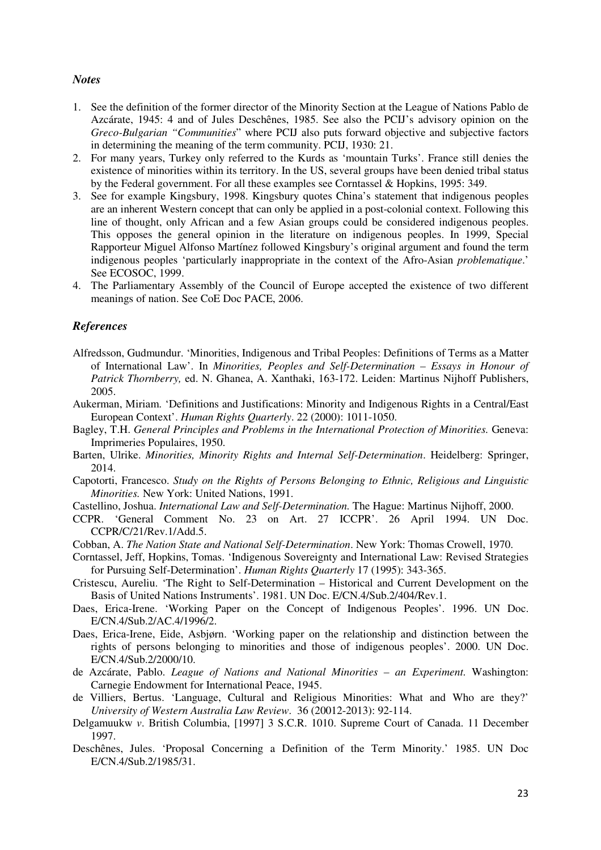# *Notes*

- 1. See the definition of the former director of the Minority Section at the League of Nations Pablo de Azcárate, 1945: 4 and of Jules Deschênes, 1985. See also the PCIJ's advisory opinion on the *Greco-Bulgarian "Communities*" where PCIJ also puts forward objective and subjective factors in determining the meaning of the term community. PCIJ, 1930: 21.
- 2. For many years, Turkey only referred to the Kurds as 'mountain Turks'. France still denies the existence of minorities within its territory. In the US, several groups have been denied tribal status by the Federal government. For all these examples see Corntassel & Hopkins, 1995: 349.
- 3. See for example Kingsbury, 1998. Kingsbury quotes China's statement that indigenous peoples are an inherent Western concept that can only be applied in a post-colonial context. Following this line of thought, only African and a few Asian groups could be considered indigenous peoples. This opposes the general opinion in the literature on indigenous peoples. In 1999, Special Rapporteur Miguel Alfonso Martínez followed Kingsbury's original argument and found the term indigenous peoples 'particularly inappropriate in the context of the Afro-Asian *problematique*.' See ECOSOC, 1999.
- 4. The Parliamentary Assembly of the Council of Europe accepted the existence of two different meanings of nation. See CoE Doc PACE, 2006.

# *References*

- Alfredsson, Gudmundur. 'Minorities, Indigenous and Tribal Peoples: Definitions of Terms as a Matter of International Law'. In *Minorities, Peoples and Self-Determination – Essays in Honour of Patrick Thornberry,* ed. N. Ghanea, A. Xanthaki, 163-172. Leiden: Martinus Nijhoff Publishers, 2005.
- Aukerman, Miriam. 'Definitions and Justifications: Minority and Indigenous Rights in a Central/East European Context'. *Human Rights Quarterly*. 22 (2000): 1011-1050.
- Bagley, T.H. *General Principles and Problems in the International Protection of Minorities.* Geneva: Imprimeries Populaires, 1950.
- Barten, Ulrike. *Minorities, Minority Rights and Internal Self-Determination*. Heidelberg: Springer, 2014.
- Capotorti, Francesco. *Study on the Rights of Persons Belonging to Ethnic, Religious and Linguistic Minorities.* New York: United Nations, 1991.
- Castellino, Joshua. *International Law and Self-Determination.* The Hague: Martinus Nijhoff, 2000.
- CCPR. 'General Comment No. 23 on Art. 27 ICCPR'. 26 April 1994. UN Doc. CCPR/C/21/Rev.1/Add.5.
- Cobban, A. *The Nation State and National Self-Determination*. New York: Thomas Crowell, 1970.
- Corntassel, Jeff, Hopkins, Tomas. 'Indigenous Sovereignty and International Law: Revised Strategies for Pursuing Self-Determination'. *Human Rights Quarterly* 17 (1995): 343-365.
- Cristescu, Aureliu. 'The Right to Self-Determination Historical and Current Development on the Basis of United Nations Instruments'. 1981. UN Doc. E/CN.4/Sub.2/404/Rev.1.
- Daes, Erica-Irene. 'Working Paper on the Concept of Indigenous Peoples'. 1996. UN Doc. E/CN.4/Sub.2/AC.4/1996/2.
- Daes, Erica-Irene, Eide, Asbjørn. 'Working paper on the relationship and distinction between the rights of persons belonging to minorities and those of indigenous peoples'. 2000. UN Doc. E/CN.4/Sub.2/2000/10.
- de Azcárate, Pablo. *League of Nations and National Minorities an Experiment.* Washington: Carnegie Endowment for International Peace, 1945.
- de Villiers, Bertus. 'Language, Cultural and Religious Minorities: What and Who are they?' *University of Western Australia Law Review*. 36 (20012-2013): 92-114.
- Delgamuukw *v*. British Columbia, [1997] 3 S.C.R. 1010. Supreme Court of Canada. 11 December 1997.
- Deschênes, Jules. 'Proposal Concerning a Definition of the Term Minority.' 1985. UN Doc E/CN.4/Sub.2/1985/31.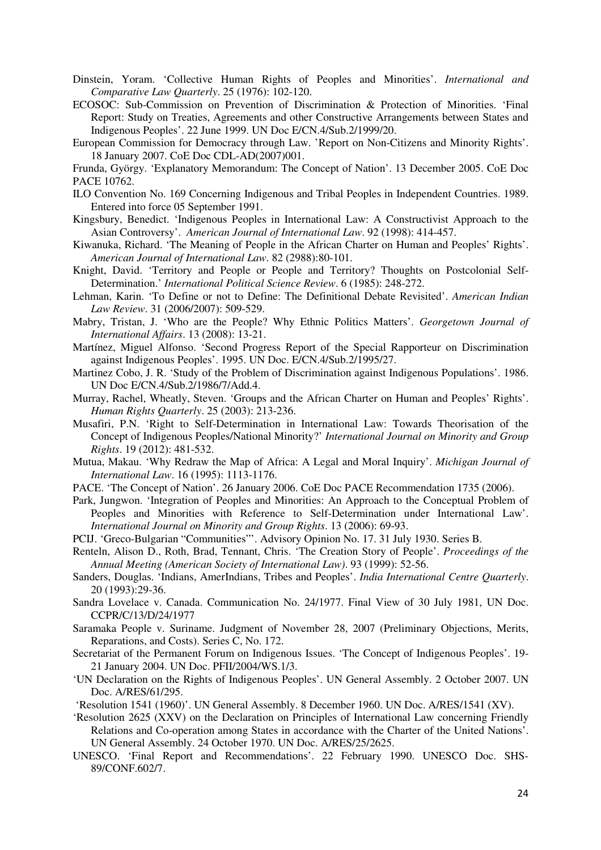- Dinstein, Yoram. 'Collective Human Rights of Peoples and Minorities'. *International and Comparative Law Quarterly*. 25 (1976): 102-120.
- ECOSOC: Sub-Commission on Prevention of Discrimination & Protection of Minorities. 'Final Report: Study on Treaties, Agreements and other Constructive Arrangements between States and Indigenous Peoples'. 22 June 1999. UN Doc E/CN.4/Sub.2/1999/20.
- European Commission for Democracy through Law. 'Report on Non-Citizens and Minority Rights'. 18 January 2007. CoE Doc CDL-AD(2007)001.

Frunda, György. 'Explanatory Memorandum: The Concept of Nation'. 13 December 2005. CoE Doc PACE 10762.

- ILO Convention No. 169 Concerning Indigenous and Tribal Peoples in Independent Countries. 1989. Entered into force 05 September 1991.
- Kingsbury, Benedict. 'Indigenous Peoples in International Law: A Constructivist Approach to the Asian Controversy'. *American Journal of International Law*. 92 (1998): 414-457.
- Kiwanuka, Richard. 'The Meaning of People in the African Charter on Human and Peoples' Rights'. *American Journal of International Law*. 82 (2988):80-101.
- Knight, David. 'Territory and People or People and Territory? Thoughts on Postcolonial Self-Determination.' *International Political Science Review*. 6 (1985): 248-272.
- Lehman, Karin. 'To Define or not to Define: The Definitional Debate Revisited'. *American Indian Law Review*. 31 (2006/2007): 509-529.
- Mabry, Tristan, J. 'Who are the People? Why Ethnic Politics Matters'. *Georgetown Journal of International Affairs*. 13 (2008): 13-21.
- Martínez, Miguel Alfonso. 'Second Progress Report of the Special Rapporteur on Discrimination against Indigenous Peoples'. 1995. UN Doc. E/CN.4/Sub.2/1995/27.
- Martinez Cobo, J. R. 'Study of the Problem of Discrimination against Indigenous Populations'. 1986. UN Doc E/CN.4/Sub.2/1986/7/Add.4.
- Murray, Rachel, Wheatly, Steven. 'Groups and the African Charter on Human and Peoples' Rights'. *Human Rights Quarterly*. 25 (2003): 213-236.
- Musafiri, P.N. 'Right to Self-Determination in International Law: Towards Theorisation of the Concept of Indigenous Peoples/National Minority?' *International Journal on Minority and Group Rights*. 19 (2012): 481-532.
- Mutua, Makau. 'Why Redraw the Map of Africa: A Legal and Moral Inquiry'. *Michigan Journal of International Law*. 16 (1995): 1113-1176.
- PACE. 'The Concept of Nation'. 26 January 2006. CoE Doc PACE Recommendation 1735 (2006).
- Park, Jungwon. 'Integration of Peoples and Minorities: An Approach to the Conceptual Problem of Peoples and Minorities with Reference to Self-Determination under International Law'. *International Journal on Minority and Group Rights*. 13 (2006): 69-93.
- PCIJ. 'Greco-Bulgarian "Communities"'. Advisory Opinion No. 17. 31 July 1930. Series B.
- Renteln, Alison D., Roth, Brad, Tennant, Chris. 'The Creation Story of People'. *Proceedings of the Annual Meeting (American Society of International Law)*. 93 (1999): 52-56.
- Sanders, Douglas. 'Indians, AmerIndians, Tribes and Peoples'. *India International Centre Quarterly*. 20 (1993):29-36.
- Sandra Lovelace v. Canada. Communication No. 24/1977. Final View of 30 July 1981, UN Doc. CCPR/C/13/D/24/1977
- Saramaka People v. Suriname. Judgment of November 28, 2007 (Preliminary Objections, Merits, Reparations, and Costs). Series C, No. 172.
- Secretariat of the Permanent Forum on Indigenous Issues. 'The Concept of Indigenous Peoples'. 19- 21 January 2004. UN Doc. PFII/2004/WS.1/3.
- 'UN Declaration on the Rights of Indigenous Peoples'. UN General Assembly. 2 October 2007. UN Doc. A/RES/61/295.
- 'Resolution 1541 (1960)'. UN General Assembly. 8 December 1960. UN Doc. A/RES/1541 (XV).
- 'Resolution 2625 (XXV) on the Declaration on Principles of International Law concerning Friendly Relations and Co-operation among States in accordance with the Charter of the United Nations'. UN General Assembly. 24 October 1970. UN Doc. A/RES/25/2625.
- UNESCO. 'Final Report and Recommendations'. 22 February 1990. UNESCO Doc. SHS-89/CONF.602/7.